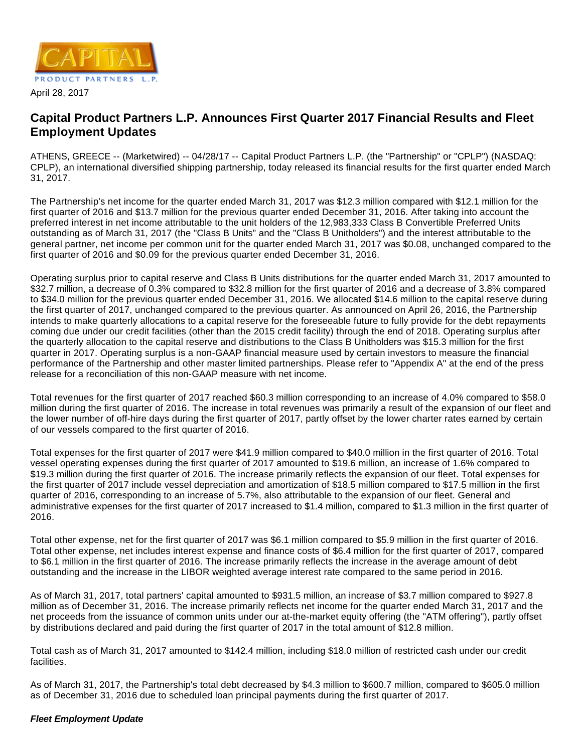

#### April 28, 2017

# **Capital Product Partners L.P. Announces First Quarter 2017 Financial Results and Fleet Employment Updates**

ATHENS, GREECE -- (Marketwired) -- 04/28/17 -- Capital Product Partners L.P. (the "Partnership" or "CPLP") (NASDAQ: CPLP), an international diversified shipping partnership, today released its financial results for the first quarter ended March 31, 2017.

The Partnership's net income for the quarter ended March 31, 2017 was \$12.3 million compared with \$12.1 million for the first quarter of 2016 and \$13.7 million for the previous quarter ended December 31, 2016. After taking into account the preferred interest in net income attributable to the unit holders of the 12,983,333 Class B Convertible Preferred Units outstanding as of March 31, 2017 (the "Class B Units" and the "Class B Unitholders") and the interest attributable to the general partner, net income per common unit for the quarter ended March 31, 2017 was \$0.08, unchanged compared to the first quarter of 2016 and \$0.09 for the previous quarter ended December 31, 2016.

Operating surplus prior to capital reserve and Class B Units distributions for the quarter ended March 31, 2017 amounted to \$32.7 million, a decrease of 0.3% compared to \$32.8 million for the first quarter of 2016 and a decrease of 3.8% compared to \$34.0 million for the previous quarter ended December 31, 2016. We allocated \$14.6 million to the capital reserve during the first quarter of 2017, unchanged compared to the previous quarter. As announced on April 26, 2016, the Partnership intends to make quarterly allocations to a capital reserve for the foreseeable future to fully provide for the debt repayments coming due under our credit facilities (other than the 2015 credit facility) through the end of 2018. Operating surplus after the quarterly allocation to the capital reserve and distributions to the Class B Unitholders was \$15.3 million for the first quarter in 2017. Operating surplus is a non-GAAP financial measure used by certain investors to measure the financial performance of the Partnership and other master limited partnerships. Please refer to "Appendix A" at the end of the press release for a reconciliation of this non-GAAP measure with net income.

Total revenues for the first quarter of 2017 reached \$60.3 million corresponding to an increase of 4.0% compared to \$58.0 million during the first quarter of 2016. The increase in total revenues was primarily a result of the expansion of our fleet and the lower number of off-hire days during the first quarter of 2017, partly offset by the lower charter rates earned by certain of our vessels compared to the first quarter of 2016.

Total expenses for the first quarter of 2017 were \$41.9 million compared to \$40.0 million in the first quarter of 2016. Total vessel operating expenses during the first quarter of 2017 amounted to \$19.6 million, an increase of 1.6% compared to \$19.3 million during the first quarter of 2016. The increase primarily reflects the expansion of our fleet. Total expenses for the first quarter of 2017 include vessel depreciation and amortization of \$18.5 million compared to \$17.5 million in the first quarter of 2016, corresponding to an increase of 5.7%, also attributable to the expansion of our fleet. General and administrative expenses for the first quarter of 2017 increased to \$1.4 million, compared to \$1.3 million in the first quarter of 2016.

Total other expense, net for the first quarter of 2017 was \$6.1 million compared to \$5.9 million in the first quarter of 2016. Total other expense, net includes interest expense and finance costs of \$6.4 million for the first quarter of 2017, compared to \$6.1 million in the first quarter of 2016. The increase primarily reflects the increase in the average amount of debt outstanding and the increase in the LIBOR weighted average interest rate compared to the same period in 2016.

As of March 31, 2017, total partners' capital amounted to \$931.5 million, an increase of \$3.7 million compared to \$927.8 million as of December 31, 2016. The increase primarily reflects net income for the quarter ended March 31, 2017 and the net proceeds from the issuance of common units under our at-the-market equity offering (the "ATM offering"), partly offset by distributions declared and paid during the first quarter of 2017 in the total amount of \$12.8 million.

Total cash as of March 31, 2017 amounted to \$142.4 million, including \$18.0 million of restricted cash under our credit facilities.

As of March 31, 2017, the Partnership's total debt decreased by \$4.3 million to \$600.7 million, compared to \$605.0 million as of December 31, 2016 due to scheduled loan principal payments during the first quarter of 2017.

#### **Fleet Employment Update**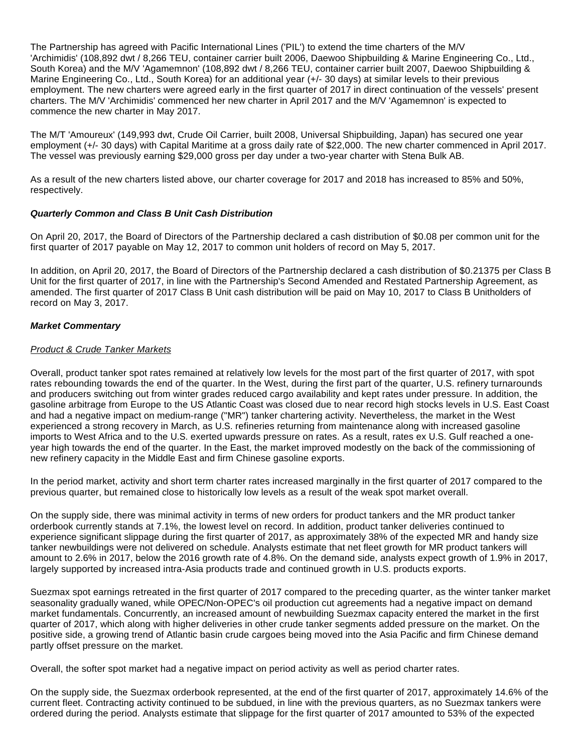The Partnership has agreed with Pacific International Lines ('PIL') to extend the time charters of the M/V 'Archimidis' (108,892 dwt / 8,266 TEU, container carrier built 2006, Daewoo Shipbuilding & Marine Engineering Co., Ltd., South Korea) and the M/V 'Agamemnon' (108,892 dwt / 8,266 TEU, container carrier built 2007, Daewoo Shipbuilding & Marine Engineering Co., Ltd., South Korea) for an additional year (+/- 30 days) at similar levels to their previous employment. The new charters were agreed early in the first quarter of 2017 in direct continuation of the vessels' present charters. The M/V 'Archimidis' commenced her new charter in April 2017 and the M/V 'Agamemnon' is expected to commence the new charter in May 2017.

The M/T 'Amoureux' (149,993 dwt, Crude Oil Carrier, built 2008, Universal Shipbuilding, Japan) has secured one year employment (+/- 30 days) with Capital Maritime at a gross daily rate of \$22,000. The new charter commenced in April 2017. The vessel was previously earning \$29,000 gross per day under a two-year charter with Stena Bulk AB.

As a result of the new charters listed above, our charter coverage for 2017 and 2018 has increased to 85% and 50%, respectively.

### **Quarterly Common and Class B Unit Cash Distribution**

On April 20, 2017, the Board of Directors of the Partnership declared a cash distribution of \$0.08 per common unit for the first quarter of 2017 payable on May 12, 2017 to common unit holders of record on May 5, 2017.

In addition, on April 20, 2017, the Board of Directors of the Partnership declared a cash distribution of \$0.21375 per Class B Unit for the first quarter of 2017, in line with the Partnership's Second Amended and Restated Partnership Agreement, as amended. The first quarter of 2017 Class B Unit cash distribution will be paid on May 10, 2017 to Class B Unitholders of record on May 3, 2017.

#### **Market Commentary**

### Product & Crude Tanker Markets

Overall, product tanker spot rates remained at relatively low levels for the most part of the first quarter of 2017, with spot rates rebounding towards the end of the quarter. In the West, during the first part of the quarter, U.S. refinery turnarounds and producers switching out from winter grades reduced cargo availability and kept rates under pressure. In addition, the gasoline arbitrage from Europe to the US Atlantic Coast was closed due to near record high stocks levels in U.S. East Coast and had a negative impact on medium-range ("MR") tanker chartering activity. Nevertheless, the market in the West experienced a strong recovery in March, as U.S. refineries returning from maintenance along with increased gasoline imports to West Africa and to the U.S. exerted upwards pressure on rates. As a result, rates ex U.S. Gulf reached a oneyear high towards the end of the quarter. In the East, the market improved modestly on the back of the commissioning of new refinery capacity in the Middle East and firm Chinese gasoline exports.

In the period market, activity and short term charter rates increased marginally in the first quarter of 2017 compared to the previous quarter, but remained close to historically low levels as a result of the weak spot market overall.

On the supply side, there was minimal activity in terms of new orders for product tankers and the MR product tanker orderbook currently stands at 7.1%, the lowest level on record. In addition, product tanker deliveries continued to experience significant slippage during the first quarter of 2017, as approximately 38% of the expected MR and handy size tanker newbuildings were not delivered on schedule. Analysts estimate that net fleet growth for MR product tankers will amount to 2.6% in 2017, below the 2016 growth rate of 4.8%. On the demand side, analysts expect growth of 1.9% in 2017, largely supported by increased intra-Asia products trade and continued growth in U.S. products exports.

Suezmax spot earnings retreated in the first quarter of 2017 compared to the preceding quarter, as the winter tanker market seasonality gradually waned, while OPEC/Non-OPEC's oil production cut agreements had a negative impact on demand market fundamentals. Concurrently, an increased amount of newbuilding Suezmax capacity entered the market in the first quarter of 2017, which along with higher deliveries in other crude tanker segments added pressure on the market. On the positive side, a growing trend of Atlantic basin crude cargoes being moved into the Asia Pacific and firm Chinese demand partly offset pressure on the market.

Overall, the softer spot market had a negative impact on period activity as well as period charter rates.

On the supply side, the Suezmax orderbook represented, at the end of the first quarter of 2017, approximately 14.6% of the current fleet. Contracting activity continued to be subdued, in line with the previous quarters, as no Suezmax tankers were ordered during the period. Analysts estimate that slippage for the first quarter of 2017 amounted to 53% of the expected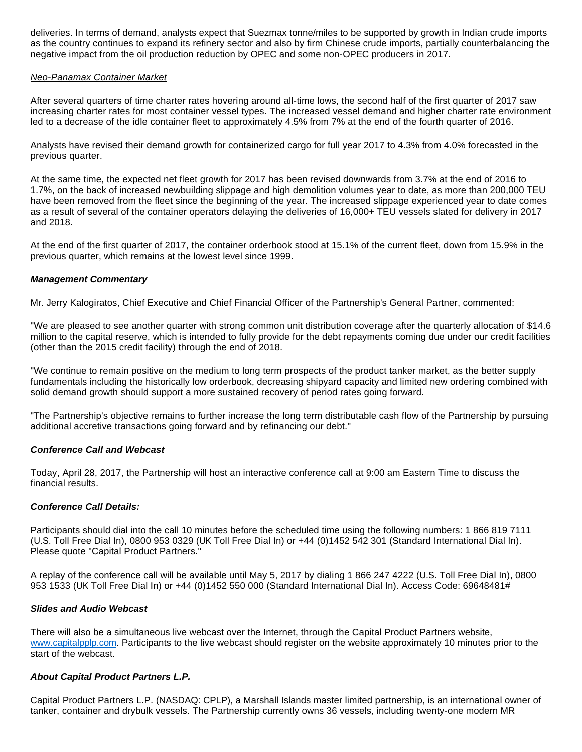deliveries. In terms of demand, analysts expect that Suezmax tonne/miles to be supported by growth in Indian crude imports as the country continues to expand its refinery sector and also by firm Chinese crude imports, partially counterbalancing the negative impact from the oil production reduction by OPEC and some non-OPEC producers in 2017.

#### Neo-Panamax Container Market

After several quarters of time charter rates hovering around all-time lows, the second half of the first quarter of 2017 saw increasing charter rates for most container vessel types. The increased vessel demand and higher charter rate environment led to a decrease of the idle container fleet to approximately 4.5% from 7% at the end of the fourth quarter of 2016.

Analysts have revised their demand growth for containerized cargo for full year 2017 to 4.3% from 4.0% forecasted in the previous quarter.

At the same time, the expected net fleet growth for 2017 has been revised downwards from 3.7% at the end of 2016 to 1.7%, on the back of increased newbuilding slippage and high demolition volumes year to date, as more than 200,000 TEU have been removed from the fleet since the beginning of the year. The increased slippage experienced year to date comes as a result of several of the container operators delaying the deliveries of 16,000+ TEU vessels slated for delivery in 2017 and 2018.

At the end of the first quarter of 2017, the container orderbook stood at 15.1% of the current fleet, down from 15.9% in the previous quarter, which remains at the lowest level since 1999.

### **Management Commentary**

Mr. Jerry Kalogiratos, Chief Executive and Chief Financial Officer of the Partnership's General Partner, commented:

"We are pleased to see another quarter with strong common unit distribution coverage after the quarterly allocation of \$14.6 million to the capital reserve, which is intended to fully provide for the debt repayments coming due under our credit facilities (other than the 2015 credit facility) through the end of 2018.

"We continue to remain positive on the medium to long term prospects of the product tanker market, as the better supply fundamentals including the historically low orderbook, decreasing shipyard capacity and limited new ordering combined with solid demand growth should support a more sustained recovery of period rates going forward.

"The Partnership's objective remains to further increase the long term distributable cash flow of the Partnership by pursuing additional accretive transactions going forward and by refinancing our debt."

#### **Conference Call and Webcast**

Today, April 28, 2017, the Partnership will host an interactive conference call at 9:00 am Eastern Time to discuss the financial results.

#### **Conference Call Details:**

Participants should dial into the call 10 minutes before the scheduled time using the following numbers: 1 866 819 7111 (U.S. Toll Free Dial In), 0800 953 0329 (UK Toll Free Dial In) or +44 (0)1452 542 301 (Standard International Dial In). Please quote "Capital Product Partners."

A replay of the conference call will be available until May 5, 2017 by dialing 1 866 247 4222 (U.S. Toll Free Dial In), 0800 953 1533 (UK Toll Free Dial In) or +44 (0)1452 550 000 (Standard International Dial In). Access Code: 69648481#

#### **Slides and Audio Webcast**

There will also be a simultaneous live webcast over the Internet, through the Capital Product Partners website, [www.capitalpplp.com.](http://www.capitalpplp.com/) Participants to the live webcast should register on the website approximately 10 minutes prior to the start of the webcast.

## **About Capital Product Partners L.P.**

Capital Product Partners L.P. (NASDAQ: CPLP), a Marshall Islands master limited partnership, is an international owner of tanker, container and drybulk vessels. The Partnership currently owns 36 vessels, including twenty-one modern MR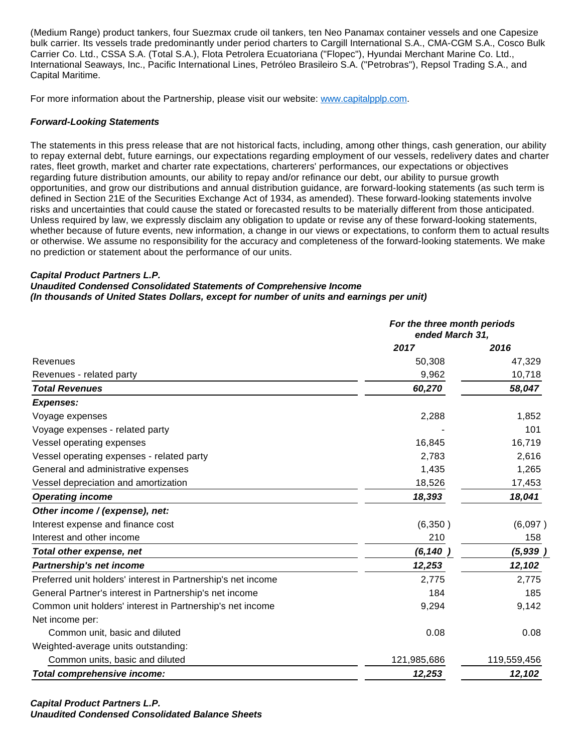(Medium Range) product tankers, four Suezmax crude oil tankers, ten Neo Panamax container vessels and one Capesize bulk carrier. Its vessels trade predominantly under period charters to Cargill International S.A., CMA-CGM S.A., Cosco Bulk Carrier Co. Ltd., CSSA S.A. (Total S.A.), Flota Petrolera Ecuatoriana ("Flopec"), Hyundai Merchant Marine Co. Ltd., International Seaways, Inc., Pacific International Lines, Petróleo Brasileiro S.A. ("Petrobras"), Repsol Trading S.A., and Capital Maritime.

For more information about the Partnership, please visit our website: [www.capitalpplp.com](http://www.capitalpplp.com/).

#### **Forward-Looking Statements**

The statements in this press release that are not historical facts, including, among other things, cash generation, our ability to repay external debt, future earnings, our expectations regarding employment of our vessels, redelivery dates and charter rates, fleet growth, market and charter rate expectations, charterers' performances, our expectations or objectives regarding future distribution amounts, our ability to repay and/or refinance our debt, our ability to pursue growth opportunities, and grow our distributions and annual distribution guidance, are forward-looking statements (as such term is defined in Section 21E of the Securities Exchange Act of 1934, as amended). These forward-looking statements involve risks and uncertainties that could cause the stated or forecasted results to be materially different from those anticipated. Unless required by law, we expressly disclaim any obligation to update or revise any of these forward-looking statements, whether because of future events, new information, a change in our views or expectations, to conform them to actual results or otherwise. We assume no responsibility for the accuracy and completeness of the forward-looking statements. We make no prediction or statement about the performance of our units.

#### **Capital Product Partners L.P.**

**Unaudited Condensed Consolidated Statements of Comprehensive Income (In thousands of United States Dollars, except for number of units and earnings per unit)**

|                                                              |             | For the three month periods<br>ended March 31, |  |  |
|--------------------------------------------------------------|-------------|------------------------------------------------|--|--|
|                                                              | 2017        | 2016                                           |  |  |
| Revenues                                                     | 50,308      | 47,329                                         |  |  |
| Revenues - related party                                     | 9,962       | 10,718                                         |  |  |
| <b>Total Revenues</b>                                        | 60,270      | 58,047                                         |  |  |
| <b>Expenses:</b>                                             |             |                                                |  |  |
| Voyage expenses                                              | 2,288       | 1,852                                          |  |  |
| Voyage expenses - related party                              |             | 101                                            |  |  |
| Vessel operating expenses                                    | 16,845      | 16,719                                         |  |  |
| Vessel operating expenses - related party                    | 2,783       | 2,616                                          |  |  |
| General and administrative expenses                          | 1,435       | 1,265                                          |  |  |
| Vessel depreciation and amortization                         | 18,526      | 17,453                                         |  |  |
| <b>Operating income</b>                                      | 18,393      | 18,041                                         |  |  |
| Other income / (expense), net:                               |             |                                                |  |  |
| Interest expense and finance cost                            | (6,350)     | (6,097)                                        |  |  |
| Interest and other income                                    | 210         | 158                                            |  |  |
| Total other expense, net                                     | (6, 140)    | (5, 939)                                       |  |  |
| Partnership's net income                                     | 12,253      | 12,102                                         |  |  |
| Preferred unit holders' interest in Partnership's net income | 2,775       | 2,775                                          |  |  |
| General Partner's interest in Partnership's net income       | 184         | 185                                            |  |  |
| Common unit holders' interest in Partnership's net income    | 9,294       | 9,142                                          |  |  |
| Net income per:                                              |             |                                                |  |  |
| Common unit, basic and diluted                               | 0.08        | 0.08                                           |  |  |
| Weighted-average units outstanding:                          |             |                                                |  |  |
| Common units, basic and diluted                              | 121,985,686 | 119,559,456                                    |  |  |
| Total comprehensive income:                                  | 12,253      | 12,102                                         |  |  |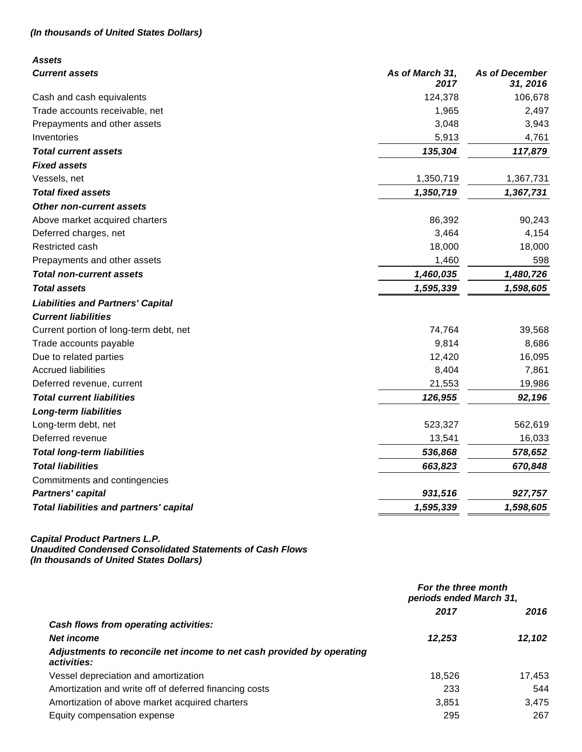# **(In thousands of United States Dollars)**

| <b>Assets</b>                                  |                         |                                   |
|------------------------------------------------|-------------------------|-----------------------------------|
| <b>Current assets</b>                          | As of March 31,<br>2017 | <b>As of December</b><br>31, 2016 |
| Cash and cash equivalents                      | 124,378                 | 106,678                           |
| Trade accounts receivable, net                 | 1,965                   | 2,497                             |
| Prepayments and other assets                   | 3,048                   | 3,943                             |
| Inventories                                    | 5,913                   | 4,761                             |
| <b>Total current assets</b>                    | 135,304                 | 117,879                           |
| <b>Fixed assets</b>                            |                         |                                   |
| Vessels, net                                   | 1,350,719               | 1,367,731                         |
| <b>Total fixed assets</b>                      | 1,350,719               | 1,367,731                         |
| <b>Other non-current assets</b>                |                         |                                   |
| Above market acquired charters                 | 86,392                  | 90,243                            |
| Deferred charges, net                          | 3,464                   | 4,154                             |
| Restricted cash                                | 18,000                  | 18,000                            |
| Prepayments and other assets                   | 1,460                   | 598                               |
| <b>Total non-current assets</b>                | 1,460,035               | 1,480,726                         |
| <b>Total assets</b>                            | 1,595,339               | 1,598,605                         |
| <b>Liabilities and Partners' Capital</b>       |                         |                                   |
| <b>Current liabilities</b>                     |                         |                                   |
| Current portion of long-term debt, net         | 74,764                  | 39,568                            |
| Trade accounts payable                         | 9,814                   | 8,686                             |
| Due to related parties                         | 12,420                  | 16,095                            |
| <b>Accrued liabilities</b>                     | 8,404                   | 7,861                             |
| Deferred revenue, current                      | 21,553                  | 19,986                            |
| <b>Total current liabilities</b>               | 126,955                 | 92,196                            |
| <b>Long-term liabilities</b>                   |                         |                                   |
| Long-term debt, net                            | 523,327                 | 562,619                           |
| Deferred revenue                               | 13,541                  | 16,033                            |
| <b>Total long-term liabilities</b>             | 536,868                 | 578,652                           |
| <b>Total liabilities</b>                       | 663,823                 | 670,848                           |
| Commitments and contingencies                  |                         |                                   |
| <b>Partners' capital</b>                       | 931,516                 | 927,757                           |
| <b>Total liabilities and partners' capital</b> | 1,595,339               | 1,598,605                         |

#### **Capital Product Partners L.P.**

**Unaudited Condensed Consolidated Statements of Cash Flows**

**(In thousands of United States Dollars)**

|                                                                                      | For the three month<br>periods ended March 31, |        |
|--------------------------------------------------------------------------------------|------------------------------------------------|--------|
|                                                                                      | 2017                                           | 2016   |
| Cash flows from operating activities:                                                |                                                |        |
| <b>Net income</b>                                                                    | 12,253                                         | 12,102 |
| Adjustments to reconcile net income to net cash provided by operating<br>activities: |                                                |        |
| Vessel depreciation and amortization                                                 | 18,526                                         | 17,453 |
| Amortization and write off of deferred financing costs                               | 233                                            | 544    |
| Amortization of above market acquired charters                                       | 3,851                                          | 3,475  |
| Equity compensation expense                                                          | 295                                            | 267    |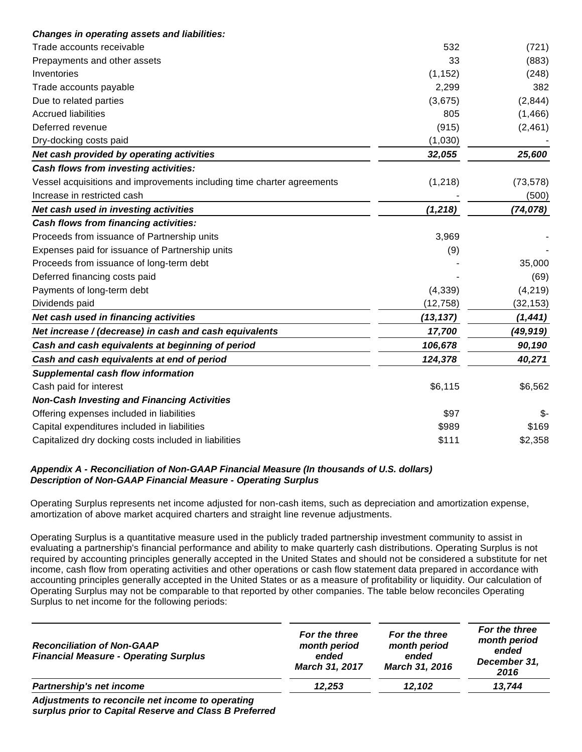| <b>Changes in operating assets and liabilities:</b>                    |           |           |
|------------------------------------------------------------------------|-----------|-----------|
| Trade accounts receivable                                              | 532       | (721)     |
| Prepayments and other assets                                           | 33        | (883)     |
| Inventories                                                            | (1, 152)  | (248)     |
| Trade accounts payable                                                 | 2,299     | 382       |
| Due to related parties                                                 | (3,675)   | (2, 844)  |
| <b>Accrued liabilities</b>                                             | 805       | (1, 466)  |
| Deferred revenue                                                       | (915)     | (2, 461)  |
| Dry-docking costs paid                                                 | (1,030)   |           |
| Net cash provided by operating activities                              | 32,055    | 25,600    |
| Cash flows from investing activities:                                  |           |           |
| Vessel acquisitions and improvements including time charter agreements | (1,218)   | (73, 578) |
| Increase in restricted cash                                            |           | (500)     |
| Net cash used in investing activities                                  | (1, 218)  | (74, 078) |
| <b>Cash flows from financing activities:</b>                           |           |           |
| Proceeds from issuance of Partnership units                            | 3,969     |           |
| Expenses paid for issuance of Partnership units                        | (9)       |           |
| Proceeds from issuance of long-term debt                               |           | 35,000    |
| Deferred financing costs paid                                          |           | (69)      |
| Payments of long-term debt                                             | (4,339)   | (4, 219)  |
| Dividends paid                                                         | (12, 758) | (32, 153) |
| Net cash used in financing activities                                  | (13, 137) | (1, 441)  |
| Net increase / (decrease) in cash and cash equivalents                 | 17,700    | (49, 919) |
| Cash and cash equivalents at beginning of period                       | 106,678   | 90,190    |
| Cash and cash equivalents at end of period                             | 124,378   | 40,271    |
| <b>Supplemental cash flow information</b>                              |           |           |
| Cash paid for interest                                                 | \$6,115   | \$6,562   |
| <b>Non-Cash Investing and Financing Activities</b>                     |           |           |
| Offering expenses included in liabilities                              | \$97      | \$-       |
| Capital expenditures included in liabilities                           | \$989     | \$169     |
| Capitalized dry docking costs included in liabilities                  | \$111     | \$2,358   |
|                                                                        |           |           |

### **Appendix A - Reconciliation of Non-GAAP Financial Measure (In thousands of U.S. dollars) Description of Non-GAAP Financial Measure - Operating Surplus**

Operating Surplus represents net income adjusted for non-cash items, such as depreciation and amortization expense, amortization of above market acquired charters and straight line revenue adjustments.

Operating Surplus is a quantitative measure used in the publicly traded partnership investment community to assist in evaluating a partnership's financial performance and ability to make quarterly cash distributions. Operating Surplus is not required by accounting principles generally accepted in the United States and should not be considered a substitute for net income, cash flow from operating activities and other operations or cash flow statement data prepared in accordance with accounting principles generally accepted in the United States or as a measure of profitability or liquidity. Our calculation of Operating Surplus may not be comparable to that reported by other companies. The table below reconciles Operating Surplus to net income for the following periods:

|        |        | 2016   |
|--------|--------|--------|
| 12.253 | 12.102 | 13,744 |
|        |        |        |

**Adjustments to reconcile net income to operating surplus prior to Capital Reserve and Class B Preferred**